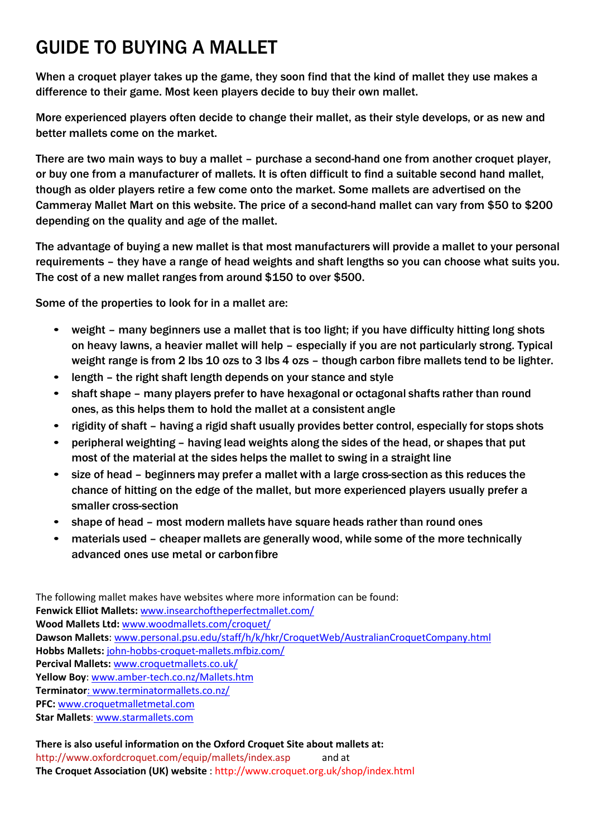### GUIDE TO BUYING A MALLET

When a croquet player takes up the game, they soon find that the kind of mallet they use makes a difference to their game. Most keen players decide to buy their own mallet.

More experienced players often decide to change their mallet, as their style develops, or as new and better mallets come on the market.

There are two main ways to buy a mallet – purchase a second-hand one from another croquet player, or buy one from a manufacturer of mallets. It is often difficult to find a suitable second hand mallet, though as older players retire a few come onto the market. Some mallets are advertised on the Cammeray Mallet Mart on this website. The price of a second-hand mallet can vary from \$50 to \$200 depending on the quality and age of the mallet.

The advantage of buying a new mallet is that most manufacturers will provide a mallet to your personal requirements – they have a range of head weights and shaft lengths so you can choose what suits you. The cost of a new mallet ranges from around \$150 to over \$500.

Some of the properties to look for in a mallet are:

- weight many beginners use a mallet that is too light; if you have difficulty hitting long shots on heavy lawns, a heavier mallet will help – especially if you are not particularly strong. Typical weight range is from 2 lbs 10 ozs to 3 lbs 4 ozs - though carbon fibre mallets tend to be lighter.
- length the right shaft length depends on your stance and style
- shaft shape many players prefer to have hexagonal or octagonal shafts rather than round ones, as this helps them to hold the mallet at a consistent angle
- rigidity of shaft having a rigid shaft usually provides better control, especially for stops shots
- peripheral weighting having lead weights along the sides of the head, or shapes that put most of the material at the sides helps the mallet to swing in a straight line
- size of head beginners may prefer a mallet with a large cross-section as this reduces the chance of hitting on the edge of the mallet, but more experienced players usually prefer a smaller cross-section
- shape of head most modern mallets have square heads rather than round ones
- materials used cheaper mallets are generally wood, while some of the more technically advanced ones use metal or carbonfibre

The following mallet makes have websites where more information can be found: **Fenwick Elliot Mallets:** [www.insearchoftheperfectmallet.com/](http://www.insearchoftheperfectmallet.com/) **Wood Mallets Ltd:** [www.woodmallets.com/croquet/](http://www.woodmallets.com/croquet/) **Dawson Mallets**: [www.personal.psu.edu/staff/h/k/hkr/CroquetWeb/AustralianCroquetCompany.html](http://www.personal.psu.edu/staff/h/k/hkr/CroquetWeb/AustralianCroquetCompany.html) **Hobbs Mallets:** john‐hobbs‐croquet‐mallets.mfbiz.com/ **Percival Mallets:** [www.croquetmallets.co.uk/](http://www.croquetmallets.co.uk/) **Yellow Boy**: www.amber‐tech.co.nz/Mallets.htm **Terminator**: [www.terminatormallets.co.nz/](http://:%20www.terminatormallets.co.nz/) **PFC:** www.croquetmalletmetal.com **Star Mallets**: www.starmallets.com

### **There is also useful information on the Oxford Croquet Site about mallets at:** <http://www.oxfordcroquet.com/equip/mallets/index.asp> and at **The Croquet Association (UK) website** :<http://www.croquet.org.uk/shop/index.html>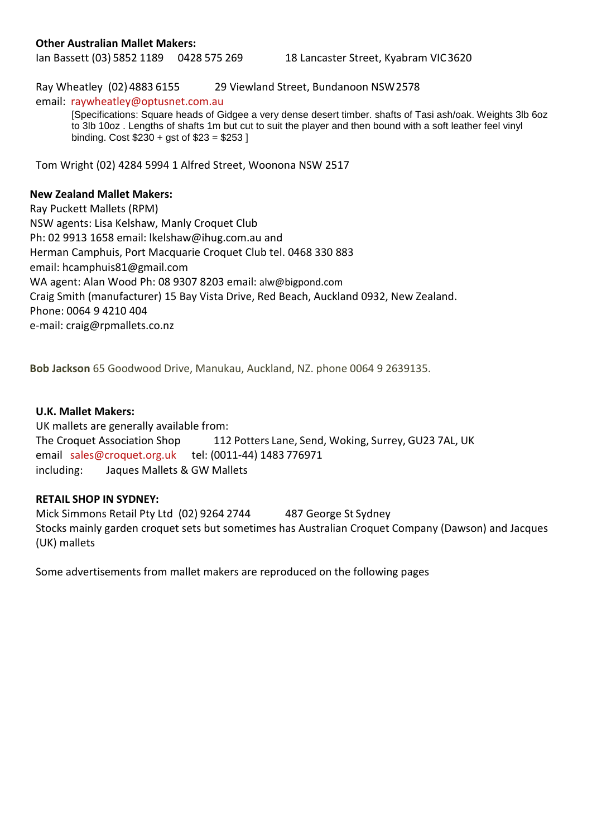#### **Other Australian Mallet Makers:**

Ian Bassett (03) 5852 1189 0428 575 269 18 Lancaster Street, Kyabram VIC3620

Ray Wheatley (02) 4883 6155 29 Viewland Street, Bundanoon NSW2578

email: [raywheatley@optusnet.com.au](mailto:raywheatley@optusnet.com.au)

[Specifications: Square heads of Gidgee a very dense desert timber. shafts of Tasi ash/oak. Weights 3lb 6oz to 3lb 10oz . Lengths of shafts 1m but cut to suit the player and then bound with a soft leather feel vinyl binding. Cost \$230 + gst of \$23 = \$253 ]

Tom Wright (02) 4284 5994 1 Alfred Street, Woonona NSW 2517

#### **New Zealand Mallet Makers:**

Ray Puckett Mallets (RPM) NSW agents: Lisa Kelshaw, Manly Croquet Club Ph: 02 9913 1658 email: [lkelshaw@ihug.com.au a](mailto:lkelshaw@ihug.com.au)nd Herman Camphuis, Port Macquarie Croquet Club tel. 0468 330 883 email: [hcamphuis81@gmail.com](mailto:hcamphuis81@gmail.com) WA agent: Alan Wood Ph: 08 9307 8203 email: [alw@bigpond.com](mailto:alw@bigpond.com) Craig Smith (manufacturer) 15 Bay Vista Drive, Red Beach, Auckland 0932, New Zealand. Phone: 0064 9 4210 404 e‐mail: [craig@rpmallets.co.nz](mailto:craig@rpmallets.co.nz)

**Bob Jackson** 65 Goodwood Drive, Manukau, Auckland, NZ. phone 0064 9 2639135.

### **U.K. Mallet Makers:**

UK mallets are generally available from: The Croquet Association Shop 112 Potters Lane, Send, Woking, Surrey, GU23 7AL, UK email [sales@croquet.org.uk](mailto:sales@croquet.org.uk) tel: (0011‐44) 1483 776971 including: Jaques Mallets & GW Mallets

#### **RETAIL SHOP IN SYDNEY:**

Mick Simmons Retail Pty Ltd (02) 9264 2744 487 George St Sydney Stocks mainly garden croquet sets but sometimes has Australian Croquet Company (Dawson) and Jacques (UK) mallets

Some advertisements from mallet makers are reproduced on the following pages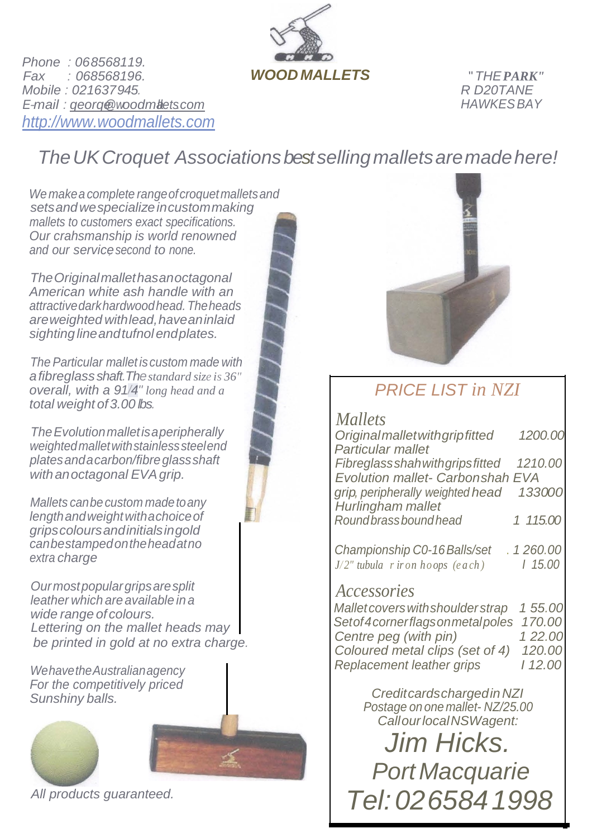

*Phone : 068568119. Fax : 068568196. Mobile : 021637945. E-mail : [qeorqe@woodmallets.com](mailto:qeorqe@woodmallets.com) [http://www.woodmallets.com](http://www.woodmallets.com/)*

*R D20TANE HAWKESBAY*

### *TheUKCroquet Associationsbest sellingmalletsaremadehere!*

*Wemakeacomplete rangeofcroquetmalletsand setsandwespecializeincustommaking mallets to customers exact specifications. Our crahsmanship is world renowned and our service, second to none.*

*TheOriginalmallethasanoctagonal American white ash handle with an attractivedarkhardwoodhead.Theheads areweighted withlead,haveaninlaid sightinglineandtufnolendplates.*

*The Particular mallet iscustom made with afibreglass shaft.Thestandard size is 36" overall, with a 91/4" long head and a total weight of3.00 lbs.*

*TheEvolutionmalletisaperipherally weightedmalletwithstainlesssteelend platesandacarbon/fibreglassshaft withanoctagonal EVAgrip.*

*Mallets canbecustom madetoany lengthandweightwithachoiceof gripscoloursandinitialsingold canbestampedontheheadatno extra charge.*

*Ourmostpopulargripsaresplit leather which areavailable in a wide range of colours. Lettering on the mallet heads may be printed in gold at no extra charge.*

*WehavetheAustralianagency For the competitively priced Sunshiny balls.*





*All products guaranteed.*



### *PRICE LIST in NZI*

*Mallets*

| <b>Original mallet with grip fitted</b>  | 1200.00  |
|------------------------------------------|----------|
| Particular mallet                        |          |
| Fibreglassshah with grips fitted 1210.00 |          |
| Evolution mallet- Carbonshah EVA         |          |
| grip, peripherally weighted head 133000  |          |
| Hurlingham mallet                        |          |
| Round brass bound head                   | 1 115.00 |
|                                          |          |

*Championship C0-16Balls/set* . *1 260.00 J/2" tubula r ir on ho ops (e a ch ) I 15.00*

### *Accessories*

*Malletcoverswithshoulder strap 1 55.00 Setof4cornerflagsonmetalpoles 170.00 Centre peg (with pin) Coloured metal clips (set of 4) 120.00 Replacement leather grips* 

> *Creditcardschargedin NZI Postage on one mallet- NZ/25.00 CallourlocalNSWagent:*

*Jim Hicks. PortMacquarie Tel:0265841998*